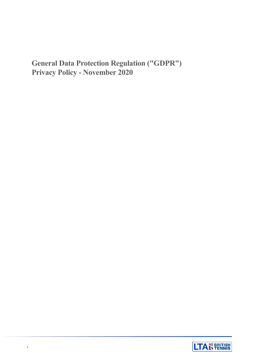# **General Data Protection Regulation ("GDPR") Privacy Policy - November 2020**

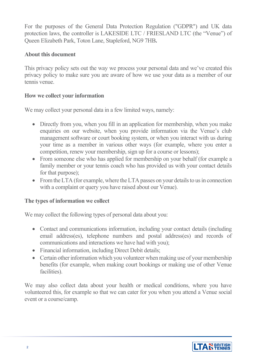For the purposes of the General Data Protection Regulation ("GDPR") and UK data protection laws, the controller is LAKESIDE LTC / FRIESLAND LTC (the "Venue") of Queen Elizabeth Park, Toton Lane, Stapleford, NG9 7HB**.**

### **About this document**

This privacy policy sets out the way we process your personal data and we've created this privacy policy to make sure you are aware of how we use your data as a member of our tennis venue.

#### **How we collect your information**

We may collect your personal data in a few limited ways, namely:

- Directly from you, when you fill in an application for membership, when you make enquiries on our website, when you provide information via the Venue's club management software or court booking system, or when you interact with us during your time as a member in various other ways (for example, where you enter a competition, renew your membership, sign up for a course or lessons);
- From someone else who has applied for membership on your behalf (for example a family member or your tennis coach who has provided us with your contact details for that purpose);
- From the LTA (for example, where the LTA passes on your details to us in connection with a complaint or query you have raised about our Venue).

# **The types of information we collect**

We may collect the following types of personal data about you:

- Contact and communications information, including your contact details (including email address(es), telephone numbers and postal address(es) and records of communications and interactions we have had with you);
- Financial information, including Direct Debit details;
- Certain other information which you volunteer when making use of your membership benefits (for example, when making court bookings or making use of other Venue facilities).

We may also collect data about your health or medical conditions, where you have volunteered this, for example so that we can cater for you when you attend a Venue social event or a course/camp.

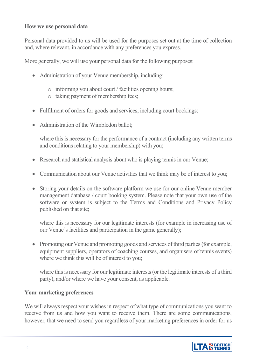#### **How we use personal data**

Personal data provided to us will be used for the purposes set out at the time of collection and, where relevant, in accordance with any preferences you express.

More generally, we will use your personal data for the following purposes:

- Administration of your Venue membership, including:
	- o informing you about court / facilities opening hours;
	- o taking payment of membership fees;
- Fulfilment of orders for goods and services, including court bookings;
- Administration of the Wimbledon ballot:

where this is necessary for the performance of a contract (including any written terms and conditions relating to your membership) with you;

- Research and statistical analysis about who is playing tennis in our Venue;
- Communication about our Venue activities that we think may be of interest to you;
- Storing your details on the software platform we use for our online Venue member management database / court booking system. Please note that your own use of the software or system is subject to the Terms and Conditions and Privacy Policy published on that site;

where this is necessary for our legitimate interests (for example in increasing use of our Venue's facilities and participation in the game generally);

• Promoting our Venue and promoting goods and services of third parties (for example, equipment suppliers, operators of coaching courses, and organisers of tennis events) where we think this will be of interest to you;

where this is necessary for our legitimate interests (or the legitimate interests of a third party), and/or where we have your consent, as applicable.

#### **Your marketing preferences**

We will always respect your wishes in respect of what type of communications you want to receive from us and how you want to receive them. There are some communications, however, that we need to send you regardless of your marketing preferences in order for us

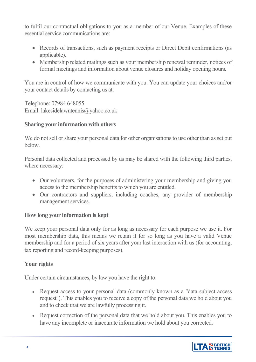to fulfil our contractual obligations to you as a member of our Venue. Examples of these essential service communications are:

- Records of transactions, such as payment receipts or Direct Debit confirmations (as applicable).
- Membership related mailings such as your membership renewal reminder, notices of formal meetings and information about venue closures and holiday opening hours.

You are in control of how we communicate with you. You can update your choices and/or your contact details by contacting us at:

Telephone: 07984 648055 Email: lakesidelawntennis@yahoo.co.uk

# **Sharing your information with others**

We do not sell or share your personal data for other organisations to use other than as set out below.

Personal data collected and processed by us may be shared with the following third parties, where necessary:

- Our volunteers, for the purposes of administering your membership and giving you access to the membership benefits to which you are entitled.
- Our contractors and suppliers, including coaches, any provider of membership management services.

# **How long your information is kept**

We keep your personal data only for as long as necessary for each purpose we use it. For most membership data, this means we retain it for so long as you have a valid Venue membership and for a period of six years after your last interaction with us (for accounting, tax reporting and record-keeping purposes).

# **Your rights**

Under certain circumstances, by law you have the right to:

- Request access to your personal data (commonly known as a "data subject access" request"). This enables you to receive a copy of the personal data we hold about you and to check that we are lawfully processing it.
- Request correction of the personal data that we hold about you. This enables you to have any incomplete or inaccurate information we hold about you corrected.